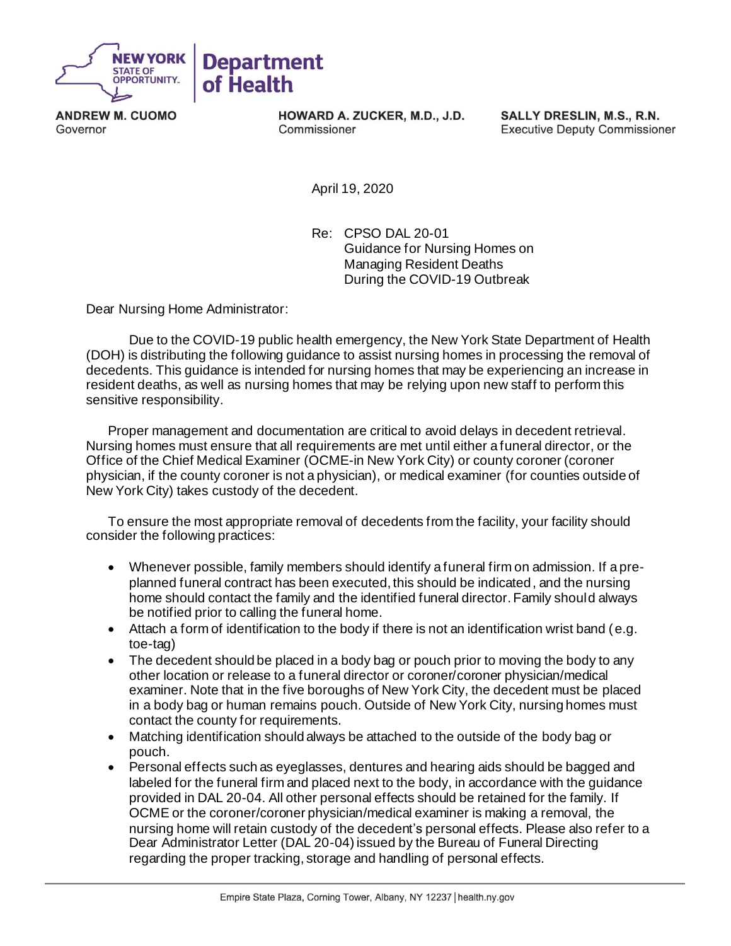

**ANDREW M. CUOMO** Governor

HOWARD A. ZUCKER, M.D., J.D. Commissioner

SALLY DRESLIN, M.S., R.N. **Executive Deputy Commissioner** 

April 19, 2020

Re: CPSO DAL 20-01 Guidance for Nursing Homes on Managing Resident Deaths During the COVID-19 Outbreak

Dear Nursing Home Administrator:

Due to the COVID-19 public health emergency, the New York State Department of Health (DOH) is distributing the following guidance to assist nursing homes in processing the removal of decedents. This guidance is intended for nursing homes that may be experiencing an increase in resident deaths, as well as nursing homes that may be relying upon new staff to perform this sensitive responsibility.

Proper management and documentation are critical to avoid delays in decedent retrieval. Nursing homes must ensure that all requirements are met until either a funeral director, or the Office of the Chief Medical Examiner (OCME-in New York City) or county coroner (coroner physician, if the county coroner is not a physician), or medical examiner (for counties outside of New York City) takes custody of the decedent.

To ensure the most appropriate removal of decedents from the facility, your facility should consider the following practices:

- Whenever possible, family members should identify a funeral firm on admission. If a preplanned funeral contract has been executed, this should be indicated, and the nursing home should contact the family and the identified funeral director. Family should always be notified prior to calling the funeral home.
- Attach a form of identification to the body if there is not an identification wrist band (e.g. toe-tag)
- The decedent should be placed in a body bag or pouch prior to moving the body to any other location or release to a funeral director or coroner/coroner physician/medical examiner. Note that in the five boroughs of New York City, the decedent must be placed in a body bag or human remains pouch. Outside of New York City, nursing homes must contact the county for requirements.
- Matching identification should always be attached to the outside of the body bag or pouch.
- Personal effects such as eyeglasses, dentures and hearing aids should be bagged and labeled for the funeral firm and placed next to the body, in accordance with the guidance provided in DAL 20-04. All other personal effects should be retained for the family. If OCME or the coroner/coroner physician/medical examiner is making a removal, the nursing home will retain custody of the decedent's personal effects. Please also refer to a Dear Administrator Letter (DAL 20-04) issued by the Bureau of Funeral Directing regarding the proper tracking, storage and handling of personal effects.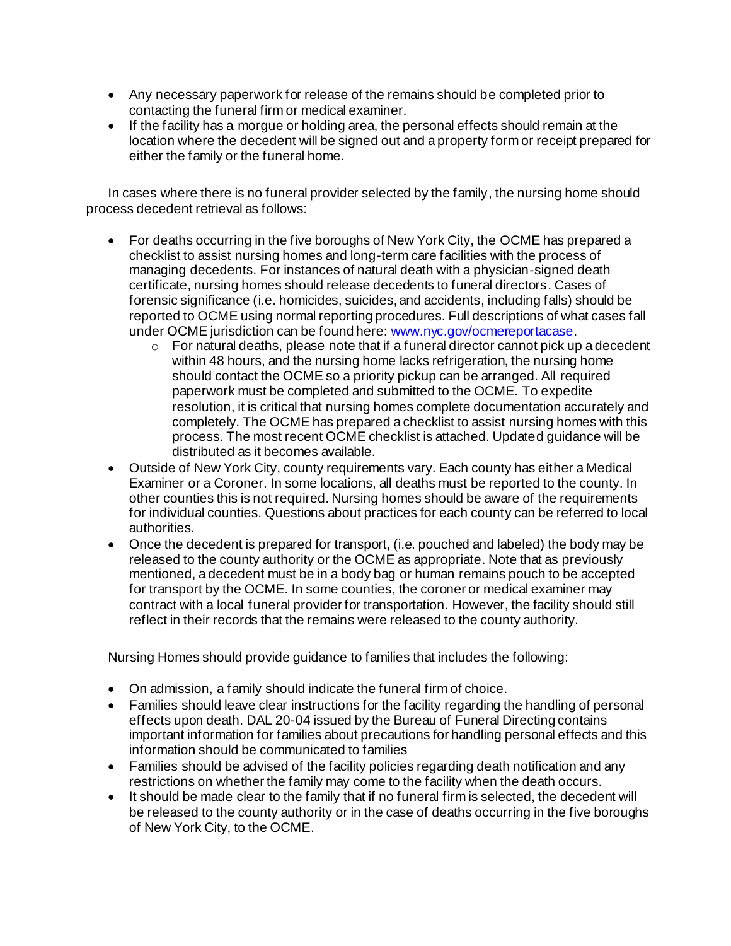- Any necessary paperwork for release of the remains should be completed prior to contacting the funeral firm or medical examiner.
- If the facility has a morgue or holding area, the personal effects should remain at the location where the decedent will be signed out and a property form or receipt prepared for either the family or the funeral home.

In cases where there is no funeral provider selected by the family, the nursing home should process decedent retrieval as follows:

- For deaths occurring in the five boroughs of New York City, the OCME has prepared a checklist to assist nursing homes and long-term care facilities with the process of managing decedents. For instances of natural death with a physician-signed death certificate, nursing homes should release decedents to funeral directors. Cases of forensic significance (i.e. homicides, suicides, and accidents, including falls) should be reported to OCME using normal reporting procedures. Full descriptions of what cases fall under OCME jurisdiction can be found here: www.nyc.gov/ocmereportacase.
	- o For natural deaths, please note that if a funeral director cannot pick up a decedent within 48 hours, and the nursing home lacks refrigeration, the nursing home should contact the OCME so a priority pickup can be arranged. All required paperwork must be completed and submitted to the OCME. To expedite resolution, it is critical that nursing homes complete documentation accurately and completely. The OCME has prepared a checklist to assist nursing homes with this process. The most recent OCME checklist is attached. Updated guidance will be distributed as it becomes available.
- Outside of New York City, county requirements vary. Each county has either a Medical Examiner or a Coroner. In some locations, all deaths must be reported to the county. In other counties this is not required. Nursing homes should be aware of the requirements for individual counties. Questions about practices for each county can be referred to local authorities.
- Once the decedent is prepared for transport, (i.e. pouched and labeled) the body may be released to the county authority or the OCME as appropriate. Note that as previously mentioned, a decedent must be in a body bag or human remains pouch to be accepted for transport by the OCME. In some counties, the coroner or medical examiner may contract with a local funeral provider for transportation. However, the facility should still reflect in their records that the remains were released to the county authority.

Nursing Homes should provide guidance to families that includes the following:

- On admission, a family should indicate the funeral firm of choice.
- Families should leave clear instructions for the facility regarding the handling of personal effects upon death. DAL 20-04 issued by the Bureau of Funeral Directing contains important information for families about precautions for handling personal effects and this information should be communicated to families
- Families should be advised of the facility policies regarding death notification and any restrictions on whether the family may come to the facility when the death occurs.
- It should be made clear to the family that if no funeral firm is selected, the decedent will be released to the county authority or in the case of deaths occurring in the five boroughs of New York City, to the OCME.